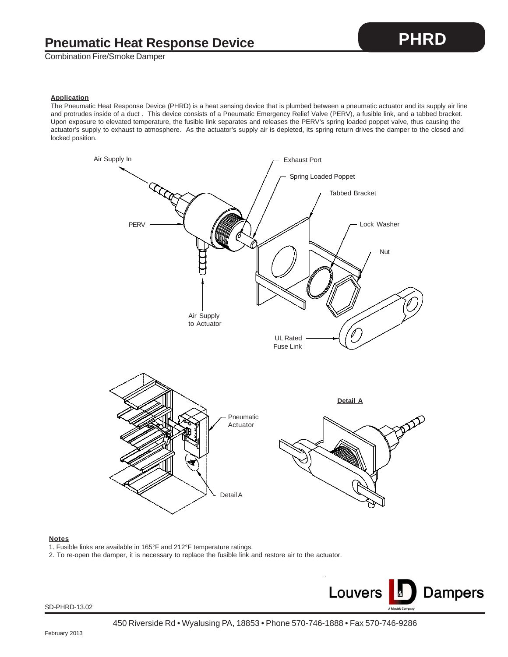Combination Fire/Smoke Damper

The Pneumatic Heat Response Device (PHRD) is a heat sensing device that is plumbed between a pneumatic actuator and its supply air line and protrudes inside of a duct . This device consists of a Pneumatic Emergency Relief Valve (PERV), a fusible link, and a tabbed bracket. Upon exposure to elevated temperature, the fusible link separates and releases the PERV's spring loaded poppet valve, thus causing the actuator's supply to exhaust to atmosphere. As the actuator's supply air is depleted, its spring return drives the damper to the closed and locked position.



## **Notes**

- 1. Fusible links are available in 165°F and 212°F temperature ratings.
- 2. To re-open the damper, it is necessary to replace the fusible link and restore air to the actuator.



**PHRD**

SD-PHRD-13.02